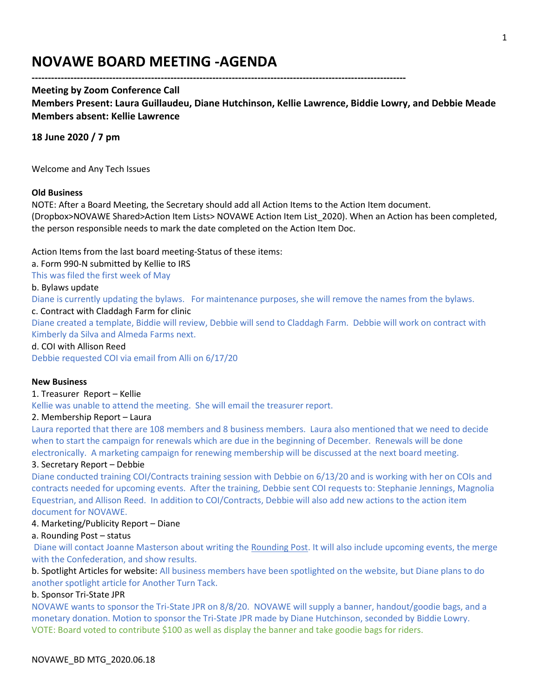# **NOVAWE BOARD MEETING -AGENDA**

# **Meeting by Zoom Conference Call**

**Members Present: Laura Guillaudeu, Diane Hutchinson, Kellie Lawrence, Biddie Lowry, and Debbie Meade Members absent: Kellie Lawrence**

**--------------------------------------------------------------------------------------------------------------------**

# **18 June 2020 / 7 pm**

Welcome and Any Tech Issues

#### **Old Business**

NOTE: After a Board Meeting, the Secretary should add all Action Items to the Action Item document. (Dropbox>NOVAWE Shared>Action Item Lists> NOVAWE Action Item List\_2020). When an Action has been completed, the person responsible needs to mark the date completed on the Action Item Doc.

Action Items from the last board meeting-Status of these items:

a. Form 990-N submitted by Kellie to IRS

This was filed the first week of May

#### b. Bylaws update

Diane is currently updating the bylaws. For maintenance purposes, she will remove the names from the bylaws.

#### c. Contract with Claddagh Farm for clinic

Diane created a template, Biddie will review, Debbie will send to Claddagh Farm. Debbie will work on contract with Kimberly da Silva and Almeda Farms next.

d. COI with Allison Reed

Debbie requested COI via email from Alli on 6/17/20

#### **New Business**

#### 1. Treasurer Report – Kellie

Kellie was unable to attend the meeting. She will email the treasurer report.

#### 2. Membership Report – Laura

Laura reported that there are 108 members and 8 business members. Laura also mentioned that we need to decide when to start the campaign for renewals which are due in the beginning of December. Renewals will be done electronically. A marketing campaign for renewing membership will be discussed at the next board meeting.

#### 3. Secretary Report – Debbie

Diane conducted training COI/Contracts training session with Debbie on 6/13/20 and is working with her on COIs and contracts needed for upcoming events. After the training, Debbie sent COI requests to: Stephanie Jennings, Magnolia Equestrian, and Allison Reed. In addition to COI/Contracts, Debbie will also add new actions to the action item document for NOVAWE.

# 4. Marketing/Publicity Report – Diane

# a. Rounding Post – status

Diane will contact Joanne Masterson about writing the Rounding Post. It will also include upcoming events, the merge with the Confederation, and show results.

b. Spotlight Articles for website: All business members have been spotlighted on the website, but Diane plans to do another spotlight article for Another Turn Tack.

# b. Sponsor Tri-State JPR

NOVAWE wants to sponsor the Tri-State JPR on 8/8/20. NOVAWE will supply a banner, handout/goodie bags, and a monetary donation. Motion to sponsor the Tri-State JPR made by Diane Hutchinson, seconded by Biddie Lowry. VOTE: Board voted to contribute \$100 as well as display the banner and take goodie bags for riders.